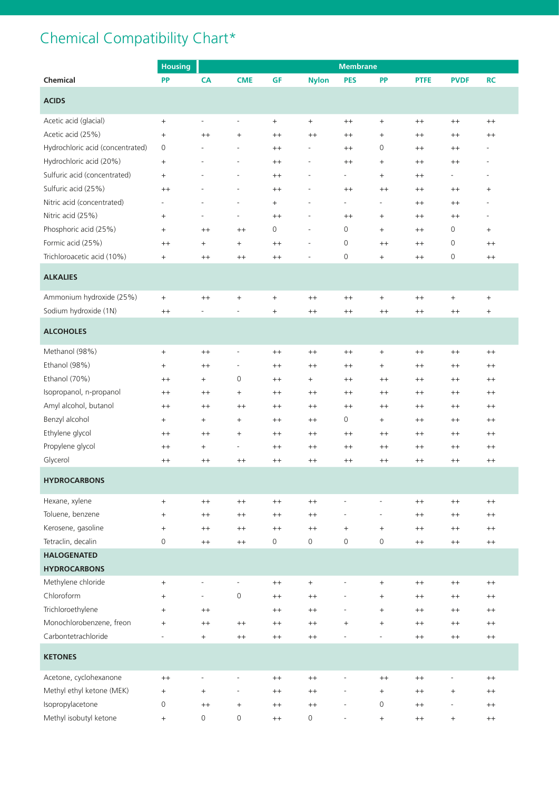## Chemical Compatibility Chart\*

|                                  | <b>Housing</b>                   | <b>Membrane</b>              |                                  |                                  |                          |                          |                                  |             |                                  |                                  |
|----------------------------------|----------------------------------|------------------------------|----------------------------------|----------------------------------|--------------------------|--------------------------|----------------------------------|-------------|----------------------------------|----------------------------------|
| Chemical                         | <b>PP</b>                        | CA                           | <b>CME</b>                       | <b>GF</b>                        | <b>Nylon</b>             | <b>PES</b>               | <b>PP</b>                        | <b>PTFE</b> | <b>PVDF</b>                      | <b>RC</b>                        |
| <b>ACIDS</b>                     |                                  |                              |                                  |                                  |                          |                          |                                  |             |                                  |                                  |
| Acetic acid (glacial)            | $^{+}$                           | $\overline{\phantom{a}}$     | $\overline{\phantom{a}}$         | $\begin{array}{c} + \end{array}$ | $^{+}$                   | $^{++}$                  | $\ddot{}$                        | $^{++}$     | $^{++}$                          | $^{++}$                          |
| Acetic acid (25%)                | $\begin{array}{c} + \end{array}$ | $^{++}$                      | $^{+}$                           | $^{++}$                          | $^{++}$                  | $^{++}$                  | $\begin{array}{c} + \end{array}$ | $^{++}$     | $^{++}$                          | $^{++}$                          |
| Hydrochloric acid (concentrated) | 0                                | $\overline{a}$               | $\overline{\phantom{a}}$         | $^{++}$                          | $\overline{\phantom{a}}$ | $^{++}$                  | 0                                | $^{++}$     | $^{++}$                          | $\overline{\phantom{a}}$         |
| Hydrochloric acid (20%)          | $^{+}$                           | $\overline{a}$               | $\overline{a}$                   | $^{++}$                          | $\overline{\phantom{0}}$ | $^{++}$                  | $\ddot{}$                        | $^{++}$     | $^{++}$                          |                                  |
| Sulfuric acid (concentrated)     | $^{+}$                           | $\overline{\phantom{a}}$     | $\overline{a}$                   | $^{++}$                          | ٠                        | $\overline{\phantom{0}}$ | $^{+}$                           | $^{++}$     | $\overline{\phantom{0}}$         | $\overline{\phantom{a}}$         |
| Sulfuric acid (25%)              | $^{++}$                          | $\overline{a}$               | $\overline{a}$                   | $^{++}$                          | $\overline{\phantom{a}}$ | $^{++}$                  | $^{++}$                          | $^{++}$     | $^{++}$                          | $\begin{array}{c} + \end{array}$ |
| Nitric acid (concentrated)       | $\overline{\phantom{0}}$         | $\overline{\phantom{m}}$     | $\overline{a}$                   | $\begin{array}{c} + \end{array}$ | $\overline{\phantom{0}}$ | $\overline{\phantom{0}}$ | $\overline{\phantom{a}}$         | $^{++}$     | $^{++}$                          |                                  |
| Nitric acid (25%)                | $^{+}$                           | $\overline{a}$               | $\overline{\phantom{a}}$         | $^{++}$                          | $\overline{\phantom{a}}$ | $^{++}$                  | $\ddot{}$                        | $^{++}$     | $^{++}$                          | $\overline{\phantom{a}}$         |
| Phosphoric acid (25%)            | $+$                              | $^{++}$                      | $^{++}$                          | 0                                | $\overline{\phantom{a}}$ | 0                        | $\qquad \qquad +$                | $^{++}$     | 0                                | $\ddot{}$                        |
| Formic acid (25%)                | $^{++}$                          | $^{+}$                       | $^{+}$                           | $^{++}$                          | $\overline{\phantom{0}}$ | 0                        | $^{++}$                          | $^{++}$     | 0                                | $^{++}$                          |
| Trichloroacetic acid (10%)       | $^{+}$                           | $^{++}$                      | $^{++}$                          | $^{++}$                          | L,                       | $\mathbf 0$              | $\qquad \qquad +$                | $^{++}$     | 0                                | $^{++}$                          |
| <b>ALKALIES</b>                  |                                  |                              |                                  |                                  |                          |                          |                                  |             |                                  |                                  |
| Ammonium hydroxide (25%)         | $+$                              | $^{++}$                      | $\begin{array}{c} + \end{array}$ | $\ddot{}$                        | $^{++}$                  | $^{++}$                  | $\begin{array}{c} + \end{array}$ | $^{++}$     | $\begin{array}{c} + \end{array}$ | $\begin{array}{c} + \end{array}$ |
| Sodium hydroxide (1N)            | $^{++}$                          | $\qquad \qquad \blacksquare$ |                                  | $\begin{array}{c} + \end{array}$ | $^{++}$                  | $^{++}$                  | $^{++}$                          | $^{++}$     | $^{++}$                          | $^{+}$                           |
| <b>ALCOHOLES</b>                 |                                  |                              |                                  |                                  |                          |                          |                                  |             |                                  |                                  |
| Methanol (98%)                   | $^{+}$                           | $^{++}$                      | $\overline{a}$                   | $^{++}$                          | $^{++}$                  | $^{++}$                  | $\ddot{}$                        | $^{++}$     | $^{++}$                          | $^{++}$                          |
| Ethanol (98%)                    | $^{+}$                           | $^{++}$                      | $\overline{a}$                   | $^{++}$                          | $^{++}$                  | $^{++}$                  | $^{+}$                           | $^{++}$     | $^{++}$                          | $^{++}$                          |
| Ethanol (70%)                    | $^{++}$                          | $^{+}$                       | 0                                | $^{++}$                          | $^{+}$                   | $^{++}$                  | $^{++}$                          | $^{++}$     | $^{++}$                          | $^{++}$                          |
| Isopropanol, n-propanol          | $^{++}$                          | $^{++}$                      | $\begin{array}{c} + \end{array}$ | $^{++}$                          | $^{++}$                  | $^{++}$                  | $^{++}$                          | $^{++}$     | $^{++}$                          | $^{++}$                          |
| Amyl alcohol, butanol            | $^{++}$                          | $^{++}$                      | $^{++}$                          | $^{++}$                          | $^{++}$                  | $^{++}$                  | $^{++}$                          | $^{++}$     | $^{++}$                          | $^{++}$                          |
| Benzyl alcohol                   | $^{+}$                           | $^{+}$                       | $\ddot{}$                        | $^{++}$                          | $^{++}$                  | 0                        | $^{+}$                           | $^{++}$     | $^{++}$                          | $^{++}$                          |
| Ethylene glycol                  | $^{++}$                          | $^{++}$                      | $\begin{array}{c} + \end{array}$ | $^{++}$                          | $^{++}$                  | $^{++}$                  | $^{++}$                          | $^{++}$     | $^{++}$                          | $^{++}$                          |
| Propylene glycol                 | $^{++}$                          | $\ddot{}$                    | $\overline{\phantom{a}}$         | $^{++}$                          | $^{++}$                  | $^{++}$                  | $^{++}$                          | $^{++}$     | $^{++}$                          | $^{++}$                          |
| Glycerol                         | $^{++}$                          | $^{++}$                      | $^{++}$                          | $^{++}$                          | $^{++}$                  | $^{++}$                  | $^{++}$                          | $^{++}$     | $^{++}$                          | $^{++}$                          |
| <b>HYDROCARBONS</b>              |                                  |                              |                                  |                                  |                          |                          |                                  |             |                                  |                                  |
| Hexane, xylene                   | $\begin{array}{c} + \end{array}$ | $^{++}$                      | $^{++}$                          | $^{++}$                          | $^{++}$                  | $\overline{\phantom{a}}$ | $\overline{\phantom{a}}$         | $^{++}$     | $^{++}$                          | $^{++}$                          |
| Toluene, benzene                 | $\begin{array}{c} + \end{array}$ | $^{++}$                      | $^{++}$                          | $^{++}$                          | $^{++}$                  |                          | $\overline{\phantom{a}}$         | $^{++}$     | $^{++}$                          | $^{++}$                          |
| Kerosene, gasoline               | $\qquad \qquad +$                | $^{++}$                      | $^{++}$                          | $^{++}$                          | $^{++}$                  | $+$                      | $\qquad \qquad +$                | $^{++}$     | $^{++}$                          | $^{++}$                          |
| Tetraclin, decalin               | 0                                | $^{++}$                      | $^{++}$                          | 0                                | 0                        | $\mathbf 0$              | 0                                | $^{++}$     | $^{++}$                          | $^{++}$                          |
| <b>HALOGENATED</b>               |                                  |                              |                                  |                                  |                          |                          |                                  |             |                                  |                                  |
| <b>HYDROCARBONS</b>              |                                  |                              |                                  |                                  |                          |                          |                                  |             |                                  |                                  |
| Methylene chloride               | $\begin{array}{c} + \end{array}$ | $\overline{\phantom{a}}$     | $\overline{\phantom{0}}$         | $^{++}$                          | $^{+}$                   |                          | $^{+}$                           | $^{++}$     | $^{++}$                          | $^{++}$                          |
| Chloroform                       | $+$                              | $\overline{\phantom{a}}$     | $\mathsf{O}\xspace$              | $^{++}$                          | $^{++}$                  |                          | $+$                              | $^{++}$     | $^{++}$                          | $^{++}$                          |
| Trichloroethylene                | $+$                              | $^{++}$                      |                                  | $^{++}$                          | $^{++}$                  | $\overline{\phantom{a}}$ | $\begin{array}{c} + \end{array}$ | $^{++}$     | $^{++}$                          | $^{++}$                          |
| Monochlorobenzene, freon         | $^{+}$                           | $^{++}$                      | $^{++}$                          | $^{++}$                          | $^{++}$                  | $^{+}$                   | $\begin{array}{c} + \end{array}$ | $^{++}$     | $^{++}$                          | $^{++}$                          |
| Carbontetrachloride              | -                                | $^{+}$                       | $^{++}$                          | $^{++}$                          | $^{++}$                  |                          | $\overline{\phantom{a}}$         | $^{++}$     | $^{++}$                          | $^{++}$                          |
| <b>KETONES</b>                   |                                  |                              |                                  |                                  |                          |                          |                                  |             |                                  |                                  |
| Acetone, cyclohexanone           | $^{++}$                          | $\overline{\phantom{a}}$     | $\overline{\phantom{a}}$         | $^{++}$                          | $^{++}$                  |                          | $^{++}$                          | $^{++}$     | $\overline{\phantom{a}}$         | $^{++}$                          |
| Methyl ethyl ketone (MEK)        | $+$                              | $^{+}$                       |                                  | $^{++}$                          | $^{++}$                  |                          | $^{+}$                           | $^{++}$     | $\begin{array}{c} + \end{array}$ | $^{++}$                          |
| Isopropylacetone                 | 0                                | $^{++}$                      | $\begin{array}{c} + \end{array}$ | $^{++}$                          | $^{++}$                  |                          | 0                                | $^{++}$     | $\overline{a}$                   | $^{++}$                          |
| Methyl isobutyl ketone           | $\begin{array}{c} + \end{array}$ | $\mathsf{O}\xspace$          | $\boldsymbol{0}$                 | $^{++}$                          | $\mathsf{O}\xspace$      |                          | $\begin{array}{c} + \end{array}$ | $^{++}$     | $\, +$                           | $^{++}$                          |